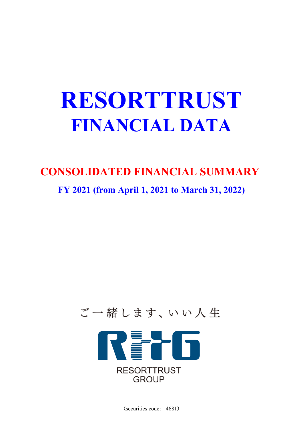# **RESORTTRUST FINANCIAL DATA**

# **CONSOLIDATED FINANCIAL SUMMARY**

**FY 2021 (from April 1, 2021 to March 31, 2022)**



(securities code: 4681)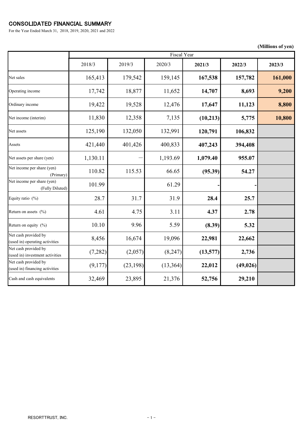## CONSOLIDATED FINANCIAL SUMMARY

For the Year Ended March 31, 2018, 2019, 2020, 2021 and 2022

**(Millions of yen)**

#### RESORTTRUST, INC.  $-1$  -

2018/3 2019/3 2020/3 **2021/3 2022/3 2023/3** Net sales 165,413 179,542 159,145 167,538 157,782 161,000 Operating income 17,742 18,877 11,652 **14,707 8,693 9,200** Ordinary income 19,422 19,528 12,476 **17,647 11,123 8,800** Net income (interim) 11,830 12,358 7,135 (10,213) 5,775 10,800 Net assets 125,190 132,050 132,991 120,791 106,832 Assets 421,440 401,426 400,833 **407,243 394,408** Net assets per share (yen)  $\begin{vmatrix} 1,130.11 & -1 \\ 1,193.69 & 1,079.40 \end{vmatrix}$  955.07 Net income per share (yen) (Primary) Net income per share (yen) (Fully Diluted) Equity ratio (%) 28.7 31.7 31.9 **28.4 25.7** Return on assets (%) **4.61** 4.61 **4.75** 3.11 4.37 Return on equity (%) 10.10 9.96 5.59 **(8.39) 5.32** Net cash provided by (used in) operating activities Net cash provided by (used in) investment activities Net cash provided by (used in) financing activities 110.82 115.53 66.65 **(95.39) 54.27** 8,456 16,674 19,096 **22,981 22,662** 101.99 61.29 **- -** (9,177) (23,198) (13,364) **22,012** Cash and cash equivalents 32,469 23,895 21,376 **52,756 29,210** Fiscal Year (7,282) (2,057) (8,247) **(13,577) 2,736 (49,026)**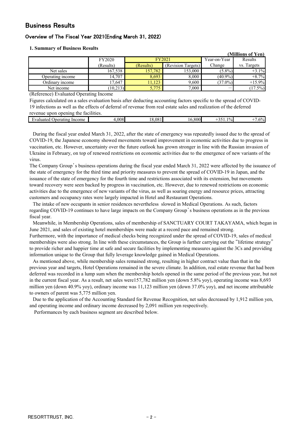### Business Results

#### Overview of The Fiscal Year 2021(Ending March 31, 2022)

|  | <b>1. Summary of Business Results</b> |  |  |  |
|--|---------------------------------------|--|--|--|
|--|---------------------------------------|--|--|--|

|                  |               |           |                    |              | (Millions of Yen) |
|------------------|---------------|-----------|--------------------|--------------|-------------------|
|                  | <b>FY2020</b> |           | FY2021             | Year-on-Year | Results           |
|                  | (Results)     | (Results) | (Revision Targets) | Change       | vs. Targets       |
| Net sales        | 167,538       | 157,782   | 153,000            | $(5.8\%)$    | $+3.1%$           |
| Operating income | 14,707        | 8,693     | 8,000              | $(40.9\%)$   | $+8.7%$           |
| Ordinary income  | 17,647        | 1,123     | 9,600              | $(37.0\%)$   | $+15.9%$          |
| Net income       | (10,213)      | 5,775     | 7,000              |              | $(17.5\%)$        |

(Reference) Evaluated Operating Income

Figures calculated on a sales evaluation basis after deducting accounting factors specific to the spread of COVID-19 infections as well as the effects of deferral of revenue from real estate sales and realization of the deferred revenue upon opening the facilities.

| TOVOHUO UDOH ODOHIIIE UIO RUHIIIIOS.    |          |      |          |                              |                 |
|-----------------------------------------|----------|------|----------|------------------------------|-----------------|
| Income<br>erating<br>hvaluated k<br>Unt | 008<br>. | .081 | 800<br>r | 10/0<br>$\sim$ $\sim$ $\sim$ | 5%<br>$\cdot$ . |
|                                         |          |      |          |                              |                 |

During the fiscal year ended March 31, 2022, after the state of emergency was repeatedly issued due to the spread of COVID-19, the Japanese economy showed movements toward improvement in economic activities due to progress in vaccination, etc. However, uncertainty over the future outlook has grown stronger in line with the Russian invasion of Ukraine in February, on top of renewed restrictions on economic activities due to the emergence of new variants of the virus.

The Company Group's business operations during the fiscal year ended March 31, 2022 were affected by the issuance of the state of emergency for the third time and priority measures to prevent the spread of COVID-19 in Japan, and the issuance of the state of emergency for the fourth time and restrictions associated with its extension, but movements toward recovery were seen backed by progress in vaccination, etc. However, due to renewed restrictions on economic activities due to the emergence of new variants of the virus, as well as soaring energy and resource prices, attracting customers and occupancy rates were largely impacted in Hotel and Restaurant Operations.

The intake of new occupants in senior residences nevertheless slowed in Medical Operations. As such, factors regarding COVID-19 continues to have large impacts on the Company Group's business operations as in the previous fiscal year.

Meanwhile, in Membership Operations, sales of membership of SANCTUARY COURT TAKAYAMA, which began in June 2021, and sales of existing hotel memberships were made at a record pace and remained strong.

Furthermore, with the importance of medical checks being recognized under the spread of COVID-19, sales of medical memberships were also strong. In line with these circumstances, the Group is further carrying out the "lifetime strategy" to provide richer and happier time at safe and secure facilities by implementing measures against the 3Cs and providing information unique to the Group that fully leverage knowledge gained in Medical Operations.

As mentioned above, while membership sales remained strong, resulting in higher contract value than that in the previous year and targets, Hotel Operations remained in the severe climate. In addition, real estate revenue that had been deferred was recorded in a lump sum when the membership hotels opened in the same period of the previous year, but not in the current fiscal year. As a result, net sales were157,782 million yen (down 5.8% yoy), operating income was 8,693 million yen (down 40.9% yoy), ordinary income was 11,123 million yen (down 37.0% yoy), and net income attributable to owners of parent was 5,775 million yen.

Due to the application of the Accounting Standard for Revenue Recognition, net sales decreased by 1,912 million yen, and operating income and ordinary income decreased by 2,091 million yen respectively.

Performances by each business segment are described below.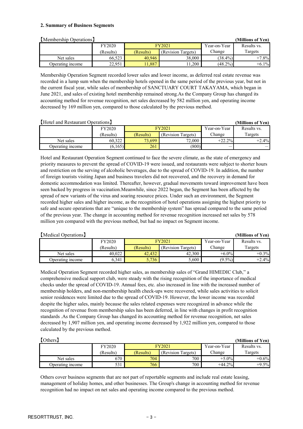#### **2. Summary of Business Segments**

| [Membership Operations] |           |           |                    |              | (Millions of Yen) |
|-------------------------|-----------|-----------|--------------------|--------------|-------------------|
|                         | FY2020    | FY2021    |                    | Year-on-Year | Results vs.       |
|                         | (Results) | (Results) | (Revision Targets) | Change       | Targets           |
| Net sales               | 66,523    | 40,946    | 38,000             | $(38.4\%)$   | $+7.8%$           |
| Operating income        | 22,951    | 1,887     | 1,200              | $(48.2\%)$   | $+6.1\%$          |

Membership Operation Segment recorded lower sales and lower income, as deferred real estate revenue was recorded in a lump sum when the membership hotels opened in the same period of the previous year, but not in the current fiscal year, while sales of membership of SANCTUARY COURT TAKAYAMA, which began in June 2021, and sales of existing hotel membership remained strong.As the Company Group has changed its accounting method for revenue recognition, net sales decreased by 582 million yen, and operating income decreased by 169 million yen, compared to those calculated by the previous method.

| [Hotel and Restaurant Operations]<br>(Millions of Yen) |               |           |                    |              |             |  |
|--------------------------------------------------------|---------------|-----------|--------------------|--------------|-------------|--|
|                                                        | <b>FY2020</b> |           | FY2021             | Year-on-Year | Results vs. |  |
|                                                        | (Results)     | (Results) | (Revision Targets) | Change       | Targets     |  |
| Net sales                                              | 60,322        | 73,699    | 72,000             | $+22.2%$     | $+2.4%$     |  |
| Operating income                                       | (6,165)       | 261       | (800)              |              |             |  |

Hotel and Restaurant Operation Segment continued to face the severe climate, as the state of emergency and priority measures to prevent the spread of COVID-19 were issued, and restaurants were subject to shorter hours and restriction on the serving of alcoholic beverages, due to the spread of COVID-19. In addition, the number of foreign tourists visiting Japan and business travelers did not recovered, and the recovery in demand for domestic accommodation was limited. Thereafter, however, gradual movements toward improvement have been seen backed by progress in vaccination.Meanwhile, since 2022 began, the Segment has been affected by the spread of new variants of the virus and soaring resource prices. Under such an environment, the Segment recorded higher sales and higher income, as the recognition of hotel operations assigning the highest priority to safe and secure operations that are "unique to the membership system" has spread compared to the same period of the previous year. The change in accounting method for revenue recognition increased net sales by 578 million yen compared with the previous method, but had no impact on Segment income.

| Medical Operations |               |           |                    |              | (Millions of Yen) |
|--------------------|---------------|-----------|--------------------|--------------|-------------------|
|                    | <b>FY2020</b> |           | FY2021             | Year-on-Year | Results vs.       |
|                    | (Results)     | (Results) | (Revision Targets) | Change       | Targets           |
| Net sales          | 40,022        | 42,432    | 42,300             | $+6.0\%$     | $+0.3\%$          |
| Operating income   | 6,341         | 5,736     | 5,600              | $(9.5\%)$    | $+2.4%$           |

Medical Operation Segment recorded higher sales, as membership sales of "Grand HIMEDIC Club," a comprehensive medical support club, were steady with the rising recognition of the importance of medical checks under the spread of COVID-19. Annual fees, etc. also increased in line with the increased number of membership holders, and non-membership health check-ups were recovered, while sales activities to solicit senior residences were limited due to the spread of COVID-19. However, the lower income was recorded despite the higher sales, mainly because the sales related expenses were recognized in advance while the recognition of revenue from membership sales has been deferred, in line with changes in profit recognition standards .As the Company Group has changed its accounting method for revenue recognition, net sales decreased by 1,907 million yen, and operating income decreased by 1,922 million yen, compared to those calculated by the previous method.

| Others <sup>]</sup> |           |           |                    |              | (Millions of Yen) |
|---------------------|-----------|-----------|--------------------|--------------|-------------------|
|                     | FY2020    | FY2021    |                    | Year-on-Year | Results vs.       |
|                     | (Results) | (Results) | (Revision Targets) | Change       | Targets           |
| Net sales           | 670       | 704       | 700                | $+5.0\%$     | $+0.6%$           |
| Operating income    | 531       | 766       | 700                | $+44.2%$     | $+9.5%$           |

Others cover business segments that are not part of reportable segments and include real estate leasing, management of holiday homes, and other businesses. The Group's change in accounting method for revenue recognition had no impact on net sales and operating income compared to the previous method.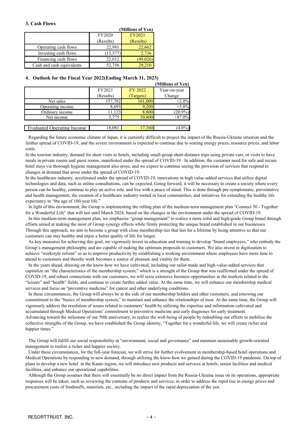#### **3. Cash Flows**

|                           |           | (Millions of Yen) |
|---------------------------|-----------|-------------------|
|                           | FY2020    | <b>FY2021</b>     |
|                           | (Results) | (Results)         |
| Operating cash flows      | 22,981    | 22,662            |
| Investing cash flows      | (13,577)  | 2,736             |
| Financing cash flows      | 22,012    | (49, 026)         |
| Cash and cash equivalents | 52,756    | 29,210            |

#### **4**. **Outlook for the Fiscal Year 2022(Ending March 31, 2023)**

|                            |           |           | (Millions of Yen) |
|----------------------------|-----------|-----------|-------------------|
|                            | FY2021    | FY 2022   | Year-on-year      |
|                            | (Results) | (Targets) | Change            |
| Net sales                  | 157,782   | 161,000   | $+2.0%$           |
| Operating income           | 8,693     | 9,200     | $+5.8%$           |
| Ordinary income            | 11,123    | 8,800     | $(20.9\%)$        |
| Net income                 | 5.775     | 10,800    | $+87.0\%$         |
|                            |           |           |                   |
| Evaluated Operating Income | 18,081    | 7.360     |                   |

Regarding the future economic climate of Japan, it is currently difficult to project the impact of the Russia-Ukraine situation and the further spread of COVID-19, and the severe environment is expected to continue due to soaring energy prices, resource prices, and labor costs.

In the tourism industry, demand for short visits to hotels, including small-group short-distance trips using private cars, or visits to have meals in private rooms and guest rooms, manifested under the spread of COVID-19 . In addition, the customer need for safe and secure hotel stays via thorough hygiene management also arose, and we expect to continue seeing the provision of services that respond to changes in demand that arose under the spread of COVID-19.

In the healthcare industry, accelerated under the spread of COVID-19, innovations in high value-added services that utilize digital technologies and data, such as online consultations, can be expected. Going forward, it will be necessary to create a society where every person can be healthy, continue to play an active role, and live with a peace of mind. This is done through pre-symptomatic, preventative and health management, the creation of a healthcare industry rooted in local communities, and initiatives for extending the healthy life expectancy in "the age of 100-year life."

In light of this environment, the Group is implementing the rolling plan of the medium-term management plan "Connect 50 - Together for a Wonderful Life" that will last until March 2024, based on the changes in the environment under the spread of COVID-19.

In this medium-term management plan, we emphasize "group management" to realize a more solid and high-grade Group brand through efforts aimed at making the most of Group synergy effects while firmly protecting the unique brand established in our businesses. Through this approach, we aim to become a group with close membership ties that last for a lifetime by being attentive so that our customers can stay healthy and enjoy a better quality of life for longer.

As key measures for achieving this goal, we vigorously invest in education and training to develop "brand employees," who embody the Group's management philosophy and are capable of making the optimum proposals to customers. We also invest in digitization to achieve "workstyle reform" so as to improve productivity by establishing a working environment where employees have more time to attend to customers and thereby work becomes a source of pleasure and vitality for them.

In the years ahead, drawing on the know-how we have cultivated, including our tailor-made and high-value-added services that capitalize on "the characteristics of the membership system," which is a strength of the Group that was reaffirmed under the spread of COVID-19, and robust connections with our customers, we will seize extensive business opportunities in the markets related to the "leisure" and "health" fields, and continue to create further added value. At the same time, we will enhance our membership medical services and focus on "preventive medicine" for cancer and other underlying conditions.

In these circumstances, the Group will always be at the side of our membership holders and other customers, and renewing our commitment to the "basics of membership system," to maintain and enhance the relationships of trust. At the same time, the Group will vigorously address the resolution of issues related to customers' health by utilizing the expertise and information cultivated and accumulated through Medical Operations' commitment to preventive medicine and early diagnoses for early treatment. Advancing toward the milestone of our 50th anniversary, to realize the well-being of people by redoubling our efforts to mobilize the collective strengths of the Group, we have established the Group identity, "Together for a wonderful life, we will create richer and happier times."

The Group will fulfill our social responsibility in "environment, social and governance" and maintain sustainable growth-oriented management to realize a richer and happier society.

Under these circumstances, for the full-year forecast, we will strive for further evolvement in membership-based hotel operations and Medical Operations by responding to new demand, through utilizing the know-how we gained during the COVID-19 pandemic. On top of plans to develop a new hotel in the Kanto region, we will introduce new products and services at hotels, senior facilities and medical facilities, and enhance our operational capabilities.

Although the Group assumes that there will essentially be no direct impact from the Russia-Ukraine issue on its operations, appropriate responses will be taken, such as reviewing the contents of products and services, in order to address the rapid rise in energy prices and procurement costs of foodstuffs, materials, etc., including the impact of the rapid depreciation of the yen.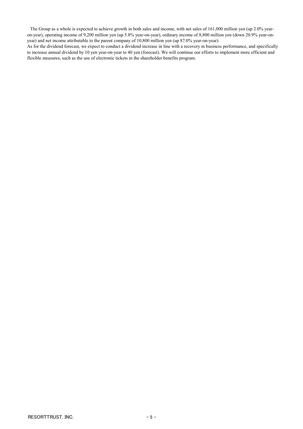The Group as a whole is expected to achieve growth in both sales and income, with net sales of 161,000 million yen (up 2.0% yearon-year), operating income of 9,200 million yen (up 5.8% year-on-year), ordinary income of 8,800 million yen (down 20.9% year-onyear) and net income attributable to the parent company of 10,800 million yen (up 87.0% year-on-year).

As for the dividend forecast, we expect to conduct a dividend increase in line with a recovery in business performance, and specifically to increase annual dividend by 10 yen year-on-year to 40 yen (forecast). We will continue our efforts to implement more efficient and flexible measures, such as the use of electronic tickets in the shareholder benefits program.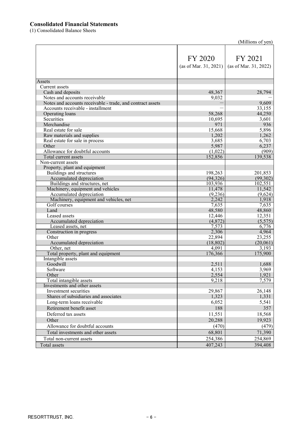## **Consolidated Financial Statements**

(1) Consolidated Balance Sheets

| (Millions of yen) |  |
|-------------------|--|
|-------------------|--|

|                                                            | FY 2020<br>(as of Mar. 31, 2021) | FY 2021<br>(as of Mar. 31, 2022) |
|------------------------------------------------------------|----------------------------------|----------------------------------|
| Assets                                                     |                                  |                                  |
| <b>Current</b> assets                                      |                                  |                                  |
| Cash and deposits                                          | 48,367                           | 28,794                           |
| Notes and accounts receivable                              | 9,032                            |                                  |
| Notes and accounts receivable - trade, and contract assets |                                  | 9,609                            |
| Accounts receivable - installment                          |                                  | 33,155                           |
| Operating loans<br>Securities                              | 58,268                           | 44,250<br>3,601                  |
| Merchandise                                                | 10,695<br>971                    | 936                              |
| Real estate for sale                                       | 15,668                           | 5,896                            |
| Raw materials and supplies                                 | 1,202                            | 1,262                            |
| Real estate for sale in process                            | 3,685                            | 6,703                            |
| Other                                                      | 5,987                            | 6,237                            |
| Allowance for doubtful accounts                            | (1,022)                          | (909)                            |
| Total current assets                                       | 152,856                          | 139,538                          |
| Non-current assets                                         |                                  |                                  |
| Property, plant and equipment                              |                                  |                                  |
| Buildings and structures                                   | 198,263                          | 201,853                          |
| Accumulated depreciation                                   | (94, 326)                        | (99, 302)                        |
| Buildings and structures, net                              | 103,936                          | 102,551                          |
| Machinery, equipment and vehicles                          | 11,478                           | 11,542                           |
| Accumulated depreciation                                   | (9,236)                          | (9,624)                          |
| Machinery, equipment and vehicles, net                     | 2,242                            | 1,918                            |
| Golf courses                                               | 7,635                            | 7,635                            |
| Land                                                       | 48,580                           | 48,860                           |
| Leased assets                                              | 12,446                           | 12,351                           |
| Accumulated depreciation                                   | (4,872)                          | (5,575)                          |
| Leased assets, net                                         | 7,573                            | 6,776                            |
| Construction in progress                                   | 2,306                            | 4,964                            |
| Other                                                      | 22,894                           | 23,255                           |
| Accumulated depreciation                                   | (18, 802)<br>4,091               | (20,061)<br>3,193                |
| Other, net<br>Total property, plant and equipment          | 176,366                          | 175,900                          |
| Intangible assets                                          |                                  |                                  |
| Goodwill                                                   | 2,511                            | 1,688                            |
| Software                                                   | 4,153                            | 3,969                            |
| Other                                                      | 2,554                            | 1,921                            |
| Total intangible assets                                    | 9,218                            | 7,579                            |
| Investments and other assets                               |                                  |                                  |
| Investment securities                                      | 29,867                           | 26,148                           |
| Shares of subsidiaries and associates                      | 1,323                            | 1,331                            |
| Long-term loans receivable                                 | 6,052                            | 5,541                            |
| Retirement benefit asset                                   | 188                              | 357                              |
| Deferred tax assets                                        | 11,551                           | 18,568                           |
| Other                                                      | 20,288                           | 19,923                           |
| Allowance for doubtful accounts                            | (470)                            | (479)                            |
| Total investments and other assets                         |                                  |                                  |
|                                                            | 68,801                           | 71,390                           |
| Total non-current assets                                   | 254,386                          | 254,869                          |
| Total assets                                               | 407,243                          | 394,408                          |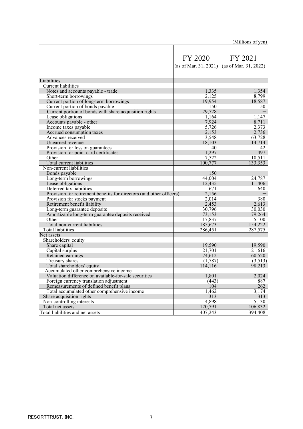|                                                                      |                       | (Millions of yen)     |
|----------------------------------------------------------------------|-----------------------|-----------------------|
|                                                                      |                       |                       |
|                                                                      | FY 2020               | FY 2021               |
|                                                                      |                       |                       |
|                                                                      | (as of Mar. 31, 2021) | (as of Mar. 31, 2022) |
| Liabilities                                                          |                       |                       |
| <b>Current liabilities</b>                                           |                       |                       |
| Notes and accounts payable - trade                                   | 1,335                 | 1,354                 |
| Short-term borrowings                                                | 2,125                 | 8,799                 |
| Current portion of long-term borrowings                              | 19,954                | 18,587                |
| Current portion of bonds payable                                     | 150                   | 150                   |
| Current portion of bonds with share acquisition rights               | 29,728                |                       |
| Lease obligations                                                    | 1,164                 | 1,147                 |
| Accounts payable - other                                             | 7,924                 | 8,711                 |
| Income taxes payable                                                 | 5,726                 | 2,373                 |
| Accrued consumption taxes                                            | 2,153                 | 2,736                 |
| Advances received                                                    | 3,548                 | 63,728                |
| Unearned revenue                                                     | 18,103                | 14,714                |
| Provision for loss on guarantees                                     | 40                    | 42                    |
| Provision for point card certificates                                | 1,297                 | 497                   |
| Other                                                                | 7,522                 | 10,511                |
| Total current liabilities                                            | 100,777               | 133,353               |
| Non-current liabilities                                              |                       |                       |
| Bonds payable                                                        | 150                   |                       |
| Long-term borrowings                                                 | 44,004                | 24,787                |
| Lease obligations                                                    | 12,435                | 11,406                |
| Deferred tax liabilities                                             | 671                   | 640                   |
| Provision for retirement benefits for directors (and other officers) | 2,156                 |                       |
| Provision for stocks payment                                         | 2,014                 | 380                   |
| Retirement benefit liability                                         | 2,453                 | 2,613                 |
| Long-term guarantee deposits                                         | 30,796                | 30,030                |
| Amortizable long-term guarantee deposits received                    | 73,153                | 79,264                |
| Other                                                                | 17,837                | 5,100                 |
| Total non-current liabilities                                        | 185,673               | 154,222               |
| <b>Total liabilities</b>                                             | 286,451               | 287,575               |
| Net assets                                                           |                       |                       |
| Shareholders' equity                                                 |                       |                       |
| Share capital                                                        | 19,590                | 19,590                |
| Capital surplus                                                      | 21,701                | 21,616                |
| Retained earnings                                                    | 74,612                | 60,520                |
| Treasury shares                                                      | (1,787)               | (3,513)               |
| Total shareholders' equity                                           | 114,116               | 98,213                |
| Accumulated other comprehensive income                               |                       |                       |
| Valuation difference on available-for-sale securities                | 1,801                 | 2,024                 |
| Foreign currency translation adjustment                              | (443)                 | 887                   |
| Remeasurements of defined benefit plans                              | 104                   | 262                   |
| Total accumulated other comprehensive income                         | 1,462<br>313          | 3,174<br>313          |
| Share acquisition rights                                             |                       |                       |
| Non-controlling interests<br>Total net assets                        | 4,898<br>120,791      | 5,130<br>106,832      |
|                                                                      |                       |                       |
| Total liabilities and net assets                                     | 407,243               | 394,408               |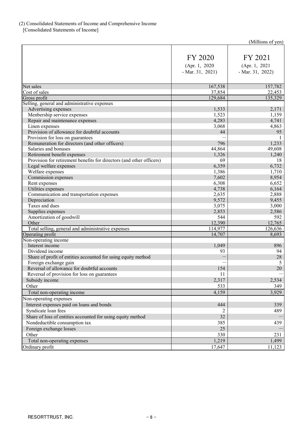## (2) Consolidated Statements of Income and Comprehensive Income

[Consolidated Statements of Income]

| (Millions of yen) |  |
|-------------------|--|
|-------------------|--|

|                                                                      |                   | $\mu$ munono or $\mu$ on |
|----------------------------------------------------------------------|-------------------|--------------------------|
|                                                                      |                   |                          |
|                                                                      | FY 2020           | FY 2021                  |
|                                                                      | (Apr. 1, 2020)    | (Apr. 1, 2021)           |
|                                                                      | $-Mar. 31, 2021)$ | $-Mar. 31, 2022)$        |
|                                                                      |                   |                          |
| Net sales                                                            | 167,538           | 157,782                  |
| Cost of sales                                                        | 37,854            | 22,453                   |
| Gross profit                                                         | 129,684           | 135,329                  |
| Selling, general and administrative expenses                         |                   |                          |
| Advertising expenses                                                 | 1,533             | 2,171                    |
| Menbership service expenses                                          | 1,523             | 1,159                    |
|                                                                      | 4,283             | 4,741                    |
| Repair and maintenance expenses<br>Linen expenses                    | 3,068             | 4,863                    |
| Provision of allowance for doubtful accounts                         | 44                | 95                       |
|                                                                      |                   |                          |
| Provision for loss on guarantees                                     |                   |                          |
| Remuneration for directors (and other officers)                      | 796               | 1,233                    |
| Salaries and bonuses                                                 | 44,864            | 49,608                   |
| Retirement benefit expenses                                          | 1,326             | 1,240                    |
| Provision for retirement benefits for directors (and other officers) | 69                | 18                       |
| Legal welfare expenses                                               | 6,359             | 6,732                    |
| Welfare expenses                                                     | 1,386             | 1,710                    |
| Commission expenses                                                  | 7,602             | 8,954                    |
| Rent expenses                                                        | 6,308             | 6,652                    |
| Utilities expenses                                                   | 4,738             | 6,164                    |
| Communication and transportation expenses                            | 2,635             | 2,888                    |
| Depreciation                                                         | 9,572             | 9,455                    |
| Taxes and dues                                                       | 3,075             | 3,000                    |
| Supplies expenses                                                    | 2,853             | 2,586                    |
| Amortization of goodwill                                             | 544               | 592                      |
| Other                                                                | 12,390            | 12,765                   |
| Total selling, general and administrative expenses                   | 114,977           | 126,636                  |
| Operating profit                                                     | 14,707            | 8,693                    |
| Non-operating income                                                 |                   |                          |
| Interest income                                                      | 1,049             | 896                      |
| Dividend income                                                      | 93                | 94                       |
| Share of profit of entities accounted for using equity method        |                   | 28                       |
| Foreign exchange gain                                                |                   |                          |
| Reversal of allowance for doubtful accounts                          | 154               | 20                       |
| Reversal of provision for loss on guarantees                         | 11                |                          |
| Subsidy income                                                       | 2,317             | 2,534                    |
| Other                                                                | 533               | 349                      |
| Total non-operating income                                           | 4,159             | 3,929                    |
| Non-operating expenses                                               |                   |                          |
| Interest expenses paid on loans and bonds                            | 444               | 339                      |
| Syndicate loan fees                                                  | 2                 | 489                      |
| Share of loss of entities accounted for using equity method          | 32                |                          |
| Nondeductible consumption tax                                        | 385               | 439                      |
| Foreign exchange losses                                              | 25                |                          |
| Other                                                                | 330               | 231                      |
|                                                                      |                   |                          |
| Total non-operating expenses                                         | 1,219             | 1,499                    |
| Ordinary profit                                                      | 17,647            | 11,123                   |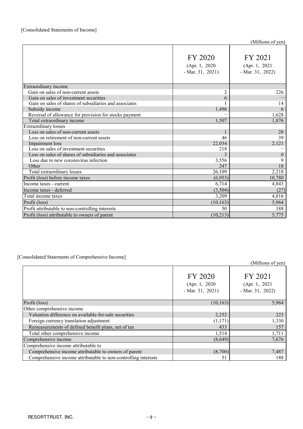|                                                        | FY 2020<br>(Apr. 1, 2020)<br>$-Mar. 31, 2021)$ | FY 2021<br>(Apr. 1, 2021)<br>$-Mar. 31, 2022)$ |
|--------------------------------------------------------|------------------------------------------------|------------------------------------------------|
| <b>Extraordinary</b> income                            |                                                |                                                |
| Gain on sales of non-current assets                    | $\overline{2}$                                 | 226                                            |
| Gain on sales of investment securities                 | 6                                              |                                                |
| Gain on sales of shares of subsidiaries and associates |                                                | 14                                             |
| Subsidy income                                         | 1,496                                          | 6                                              |
| Reversal of allowance for provision for stocks payment |                                                | 1,628                                          |
| Total extraordinary income                             | 1,507                                          | 1,876                                          |
| <b>Extraordinary losses</b>                            |                                                |                                                |
| Loss on sales of non-current assets                    | $\mathbf{1}$                                   | 28                                             |
| Loss on retirement of non-current assets               | 46                                             | 39                                             |
| Impairment loss                                        | 22,034                                         | 2,121                                          |
| Loss on sales of investment securities                 | 218                                            |                                                |
| Loss on sales of shares of subsidiaries and associates | 3                                              | $\theta$                                       |
| Loss due to new coronavirus infection                  | 3,556                                          | 9                                              |
| Other                                                  | 247                                            | 18                                             |
| Total extraordinary losses                             | 26,109                                         | 2,218                                          |
| Profit (loss) before income taxes                      | (6,953)                                        | 10,780                                         |
| Income taxes - current                                 | 6,714                                          | 4,843                                          |
| Income taxes - deferred                                | (3,504)                                        | (27)                                           |
| Total income taxes                                     | 3,209                                          | 4,816                                          |
| Profit (loss)                                          | (10, 163)                                      | 5,964                                          |
| Profit attributable to non-controlling interests       | 50                                             | 188                                            |
| Profit (loss) attributable to owners of parent         | (10,213)                                       | 5,775                                          |

## [Consolidated Statements of Comprehensive Income]

(Millions of yen)

|                                                                | FY 2020<br>(Apr. 1, 2020)<br>$-Mar. 31, 2021)$ | FY 2021<br>(Apr. 1, 2021)<br>$-Mar. 31, 2022$ |
|----------------------------------------------------------------|------------------------------------------------|-----------------------------------------------|
| Profit (loss)                                                  | (10, 163)                                      | 5,964                                         |
| Other comprehensive income                                     |                                                |                                               |
| Valuation difference on available-for-sale securities          | 2,252                                          | 223                                           |
| Foreign currency translation adjustment                        | (1,171)                                        | 1,330                                         |
| Remeasurements of defined benefit plans, net of tax            | 433                                            | 157                                           |
| Total other comprehensive income                               | 1,514                                          | 1,711                                         |
| Comprehensive income                                           | (8,649)                                        | 7,676                                         |
| Comprehensive income attributable to                           |                                                |                                               |
| Comprehensive income attributable to owners of parent          | (8,700)                                        | 7,487                                         |
| Comprehensive income attributable to non-controlling interests | 51                                             | 188                                           |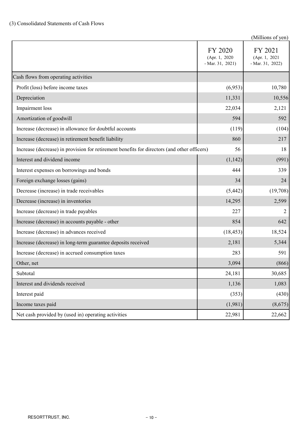|                                                                                             |                                                | (Millions of yen)                             |
|---------------------------------------------------------------------------------------------|------------------------------------------------|-----------------------------------------------|
|                                                                                             | FY 2020<br>(Apr. 1, 2020)<br>$-Mar. 31, 2021)$ | FY 2021<br>(Apr. 1, 2021<br>$-Mar. 31, 2022)$ |
| Cash flows from operating activities                                                        |                                                |                                               |
| Profit (loss) before income taxes                                                           | (6,953)                                        | 10,780                                        |
| Depreciation                                                                                | 11,331                                         | 10,556                                        |
| Impairment loss                                                                             | 22,034                                         | 2,121                                         |
| Amortization of goodwill                                                                    | 594                                            | 592                                           |
| Increase (decrease) in allowance for doubtful accounts                                      | (119)                                          | (104)                                         |
| Increase (decrease) in retirement benefit liability                                         | 860                                            | 217                                           |
| Increase (decrease) in provision for retirement benefits for directors (and other officers) | 56                                             | 18                                            |
| Interest and dividend income                                                                | (1,142)                                        | (991)                                         |
| Interest expenses on borrowings and bonds                                                   | 444                                            | 339                                           |
| Foreign exchange losses (gains)                                                             | 34                                             | 24                                            |
| Decrease (increase) in trade receivables                                                    | (5,442)                                        | (19,708)                                      |
| Decrease (increase) in inventories                                                          | 14,295                                         | 2,599                                         |
| Increase (decrease) in trade payables                                                       | 227                                            | $\overline{2}$                                |
| Increase (decrease) in accounts payable - other                                             | 854                                            | 642                                           |
| Increase (decrease) in advances received                                                    | (18, 453)                                      | 18,524                                        |
| Increase (decrease) in long-term guarantee deposits received                                | 2,181                                          | 5,344                                         |
| Increase (decrease) in accrued consumption taxes                                            | 283                                            | 591                                           |
| Other, net                                                                                  | 3,094                                          | (866)                                         |
| Subtotal                                                                                    | 24,181                                         | 30,685                                        |
| Interest and dividends received                                                             | 1,136                                          | 1,083                                         |
| Interest paid                                                                               | (353)                                          | (430)                                         |
| Income taxes paid                                                                           | (1,981)                                        | (8,675)                                       |
| Net cash provided by (used in) operating activities                                         | 22,981                                         | 22,662                                        |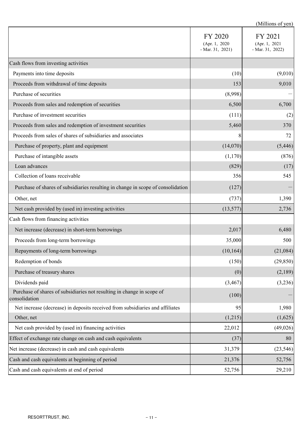|                                                                                         | (Millions of yen)                              |                                               |
|-----------------------------------------------------------------------------------------|------------------------------------------------|-----------------------------------------------|
|                                                                                         | FY 2020<br>(Apr. 1, 2020)<br>$-Mar. 31, 2021)$ | FY 2021<br>(Apr. 1, 2021<br>- Mar. $31, 2022$ |
| Cash flows from investing activities                                                    |                                                |                                               |
| Payments into time deposits                                                             | (10)                                           | (9,010)                                       |
| Proceeds from withdrawal of time deposits                                               | 153                                            | 9,010                                         |
| Purchase of securities                                                                  | (8,998)                                        |                                               |
| Proceeds from sales and redemption of securities                                        | 6,500                                          | 6,700                                         |
| Purchase of investment securities                                                       | (111)                                          | (2)                                           |
| Proceeds from sales and redemption of investment securities                             | 5,460                                          | 370                                           |
| Proceeds from sales of shares of subsidiaries and associates                            | 8                                              | 72                                            |
| Purchase of property, plant and equipment                                               | (14,070)                                       | (5, 446)                                      |
| Purchase of intangible assets                                                           | (1,170)                                        | (876)                                         |
| Loan advances                                                                           | (829)                                          | (17)                                          |
| Collection of loans receivable                                                          | 356                                            | 545                                           |
| Purchase of shares of subsidiaries resulting in change in scope of consolidation        | (127)                                          |                                               |
| Other, net                                                                              | (737)                                          | 1,390                                         |
| Net cash provided by (used in) investing activities                                     | (13,577)                                       | 2,736                                         |
| Cash flows from financing activities                                                    |                                                |                                               |
| Net increase (decrease) in short-term borrowings                                        | 2,017                                          | 6,480                                         |
| Proceeds from long-term borrowings                                                      | 35,000                                         | 500                                           |
| Repayments of long-term borrowings                                                      | (10, 164)                                      | (21,084)                                      |
| Redemption of bonds                                                                     | (150)                                          | (29, 850)                                     |
| Purchase of treasury shares                                                             | (0)                                            | (2,189)                                       |
| Dividends paid                                                                          | (3, 467)                                       | (3,236)                                       |
| Purchase of shares of subsidiaries not resulting in change in scope of<br>consolidation | (100)                                          |                                               |
| Net increase (decrease) in deposits received from subsidiaries and affiliates           | 95                                             | 1,980                                         |
| Other, net                                                                              | (1,215)                                        | (1,625)                                       |
| Net cash provided by (used in) financing activities                                     | 22,012                                         | (49,026)                                      |
| Effect of exchange rate change on cash and cash equivalents                             | (37)                                           | 80                                            |
| Net increase (decrease) in cash and cash equivalents                                    | 31,379                                         | (23, 546)                                     |
| Cash and cash equivalents at beginning of period                                        | 21,376                                         | 52,756                                        |
| Cash and cash equivalents at end of period                                              | 52,756                                         | 29,210                                        |